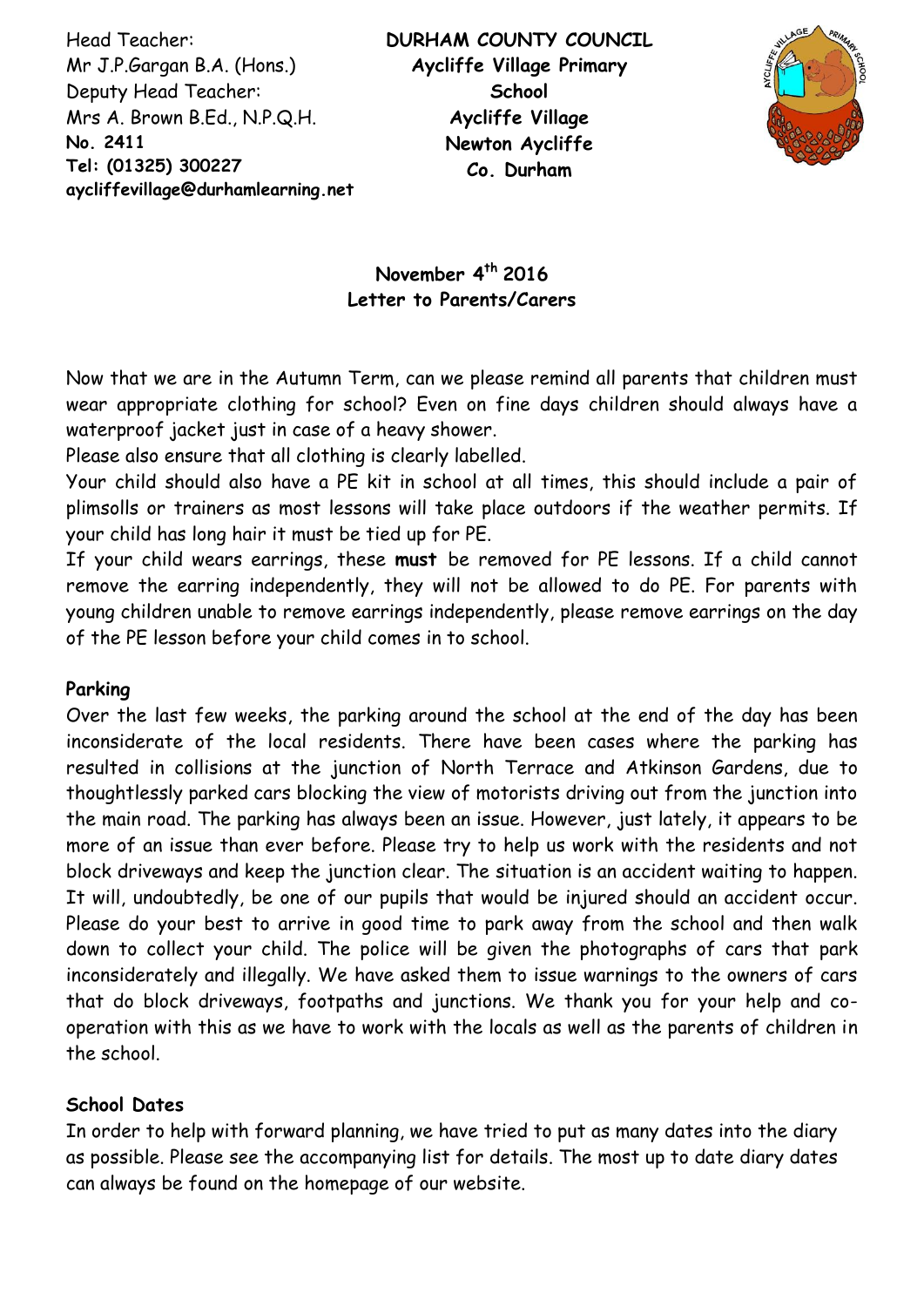Head Teacher: Mr J.P.Gargan B.A. (Hons.) Deputy Head Teacher: Mrs A. Brown B.Ed., N.P.Q.H. **No. 2411 Tel: (01325) 300227 aycliffevillage@durhamlearning.net DL5 6LG**



# **November 4 th 2016 Letter to Parents/Carers**

Now that we are in the Autumn Term, can we please remind all parents that children must wear appropriate clothing for school? Even on fine days children should always have a waterproof jacket just in case of a heavy shower.

Please also ensure that all clothing is clearly labelled.

Your child should also have a PE kit in school at all times, this should include a pair of plimsolls or trainers as most lessons will take place outdoors if the weather permits. If your child has long hair it must be tied up for PE.

If your child wears earrings, these **must** be removed for PE lessons. If a child cannot remove the earring independently, they will not be allowed to do PE. For parents with young children unable to remove earrings independently, please remove earrings on the day of the PE lesson before your child comes in to school.

# **Parking**

Over the last few weeks, the parking around the school at the end of the day has been inconsiderate of the local residents. There have been cases where the parking has resulted in collisions at the junction of North Terrace and Atkinson Gardens, due to thoughtlessly parked cars blocking the view of motorists driving out from the junction into the main road. The parking has always been an issue. However, just lately, it appears to be more of an issue than ever before. Please try to help us work with the residents and not block driveways and keep the junction clear. The situation is an accident waiting to happen. It will, undoubtedly, be one of our pupils that would be injured should an accident occur. Please do your best to arrive in good time to park away from the school and then walk down to collect your child. The police will be given the photographs of cars that park inconsiderately and illegally. We have asked them to issue warnings to the owners of cars that do block driveways, footpaths and junctions. We thank you for your help and cooperation with this as we have to work with the locals as well as the parents of children in the school.

# **School Dates**

In order to help with forward planning, we have tried to put as many dates into the diary as possible. Please see the accompanying list for details. The most up to date diary dates can always be found on the homepage of our website.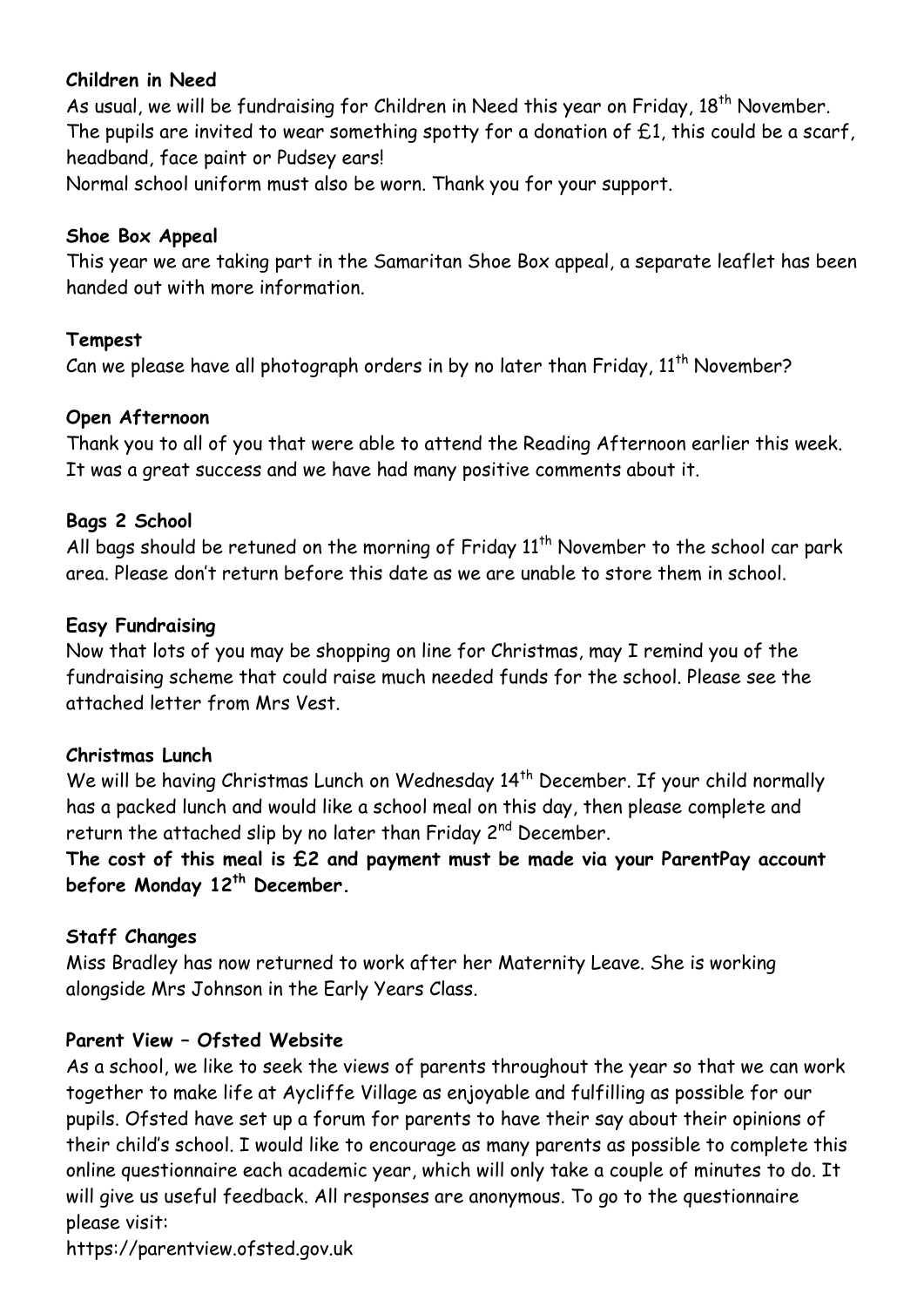# **Children in Need**

As usual, we will be fundraising for Children in Need this year on Friday, 18<sup>th</sup> November. The pupils are invited to wear something spotty for a donation of  $£1$ , this could be a scarf, headband, face paint or Pudsey ears!

Normal school uniform must also be worn. Thank you for your support.

#### **Shoe Box Appeal**

This year we are taking part in the Samaritan Shoe Box appeal, a separate leaflet has been handed out with more information.

#### **Tempest**

Can we please have all photograph orders in by no later than Friday, 11<sup>th</sup> November?

# **Open Afternoon**

Thank you to all of you that were able to attend the Reading Afternoon earlier this week. It was a great success and we have had many positive comments about it.

# **Bags 2 School**

All bags should be retuned on the morning of Friday  $11<sup>th</sup>$  November to the school car park area. Please don't return before this date as we are unable to store them in school.

# **Easy Fundraising**

Now that lots of you may be shopping on line for Christmas, may I remind you of the fundraising scheme that could raise much needed funds for the school. Please see the attached letter from Mrs Vest.

# **Christmas Lunch**

We will be having Christmas Lunch on Wednesday 14<sup>th</sup> December. If your child normally has a packed lunch and would like a school meal on this day, then please complete and return the attached slip by no later than Friday 2<sup>nd</sup> December.

**The cost of this meal is £2 and payment must be made via your ParentPay account before Monday 12th December.** 

# **Staff Changes**

Miss Bradley has now returned to work after her Maternity Leave. She is working alongside Mrs Johnson in the Early Years Class.

# **Parent View – Ofsted Website**

As a school, we like to seek the views of parents throughout the year so that we can work together to make life at Aycliffe Village as enjoyable and fulfilling as possible for our pupils. Ofsted have set up a forum for parents to have their say about their opinions of their child's school. I would like to encourage as many parents as possible to complete this online questionnaire each academic year, which will only take a couple of minutes to do. It will give us useful feedback. All responses are anonymous. To go to the questionnaire please visit:

https://parentview.ofsted.gov.uk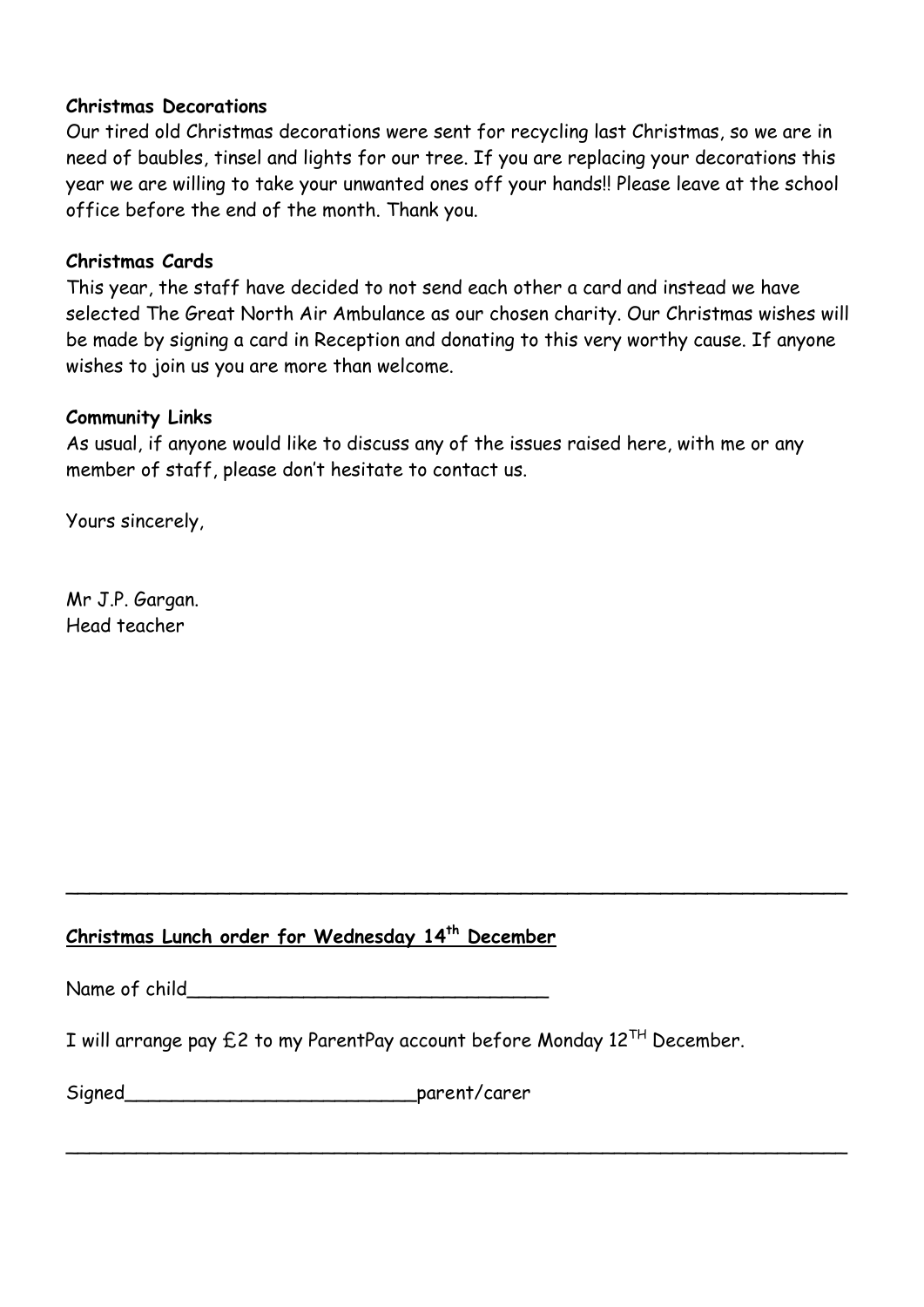#### **Christmas Decorations**

Our tired old Christmas decorations were sent for recycling last Christmas, so we are in need of baubles, tinsel and lights for our tree. If you are replacing your decorations this year we are willing to take your unwanted ones off your hands!! Please leave at the school office before the end of the month. Thank you.

#### **Christmas Cards**

This year, the staff have decided to not send each other a card and instead we have selected The Great North Air Ambulance as our chosen charity. Our Christmas wishes will be made by signing a card in Reception and donating to this very worthy cause. If anyone wishes to join us you are more than welcome.

#### **Community Links**

As usual, if anyone would like to discuss any of the issues raised here, with me or any member of staff, please don't hesitate to contact us.

Yours sincerely,

Mr J.P. Gargan. Head teacher

# **Christmas Lunch order for Wednesday 14th December**

Name of child

I will arrange pay  $E2$  to my ParentPay account before Monday  $12^{TH}$  December.

 $\sim$  . The contract of the contract of the contract of the contract of the contract of the contract of the contract of

 $\sim$  . The contract of the contract of the contract of the contract of the contract of the contract of the contract of

| Signed | parent/carer |  |
|--------|--------------|--|
|--------|--------------|--|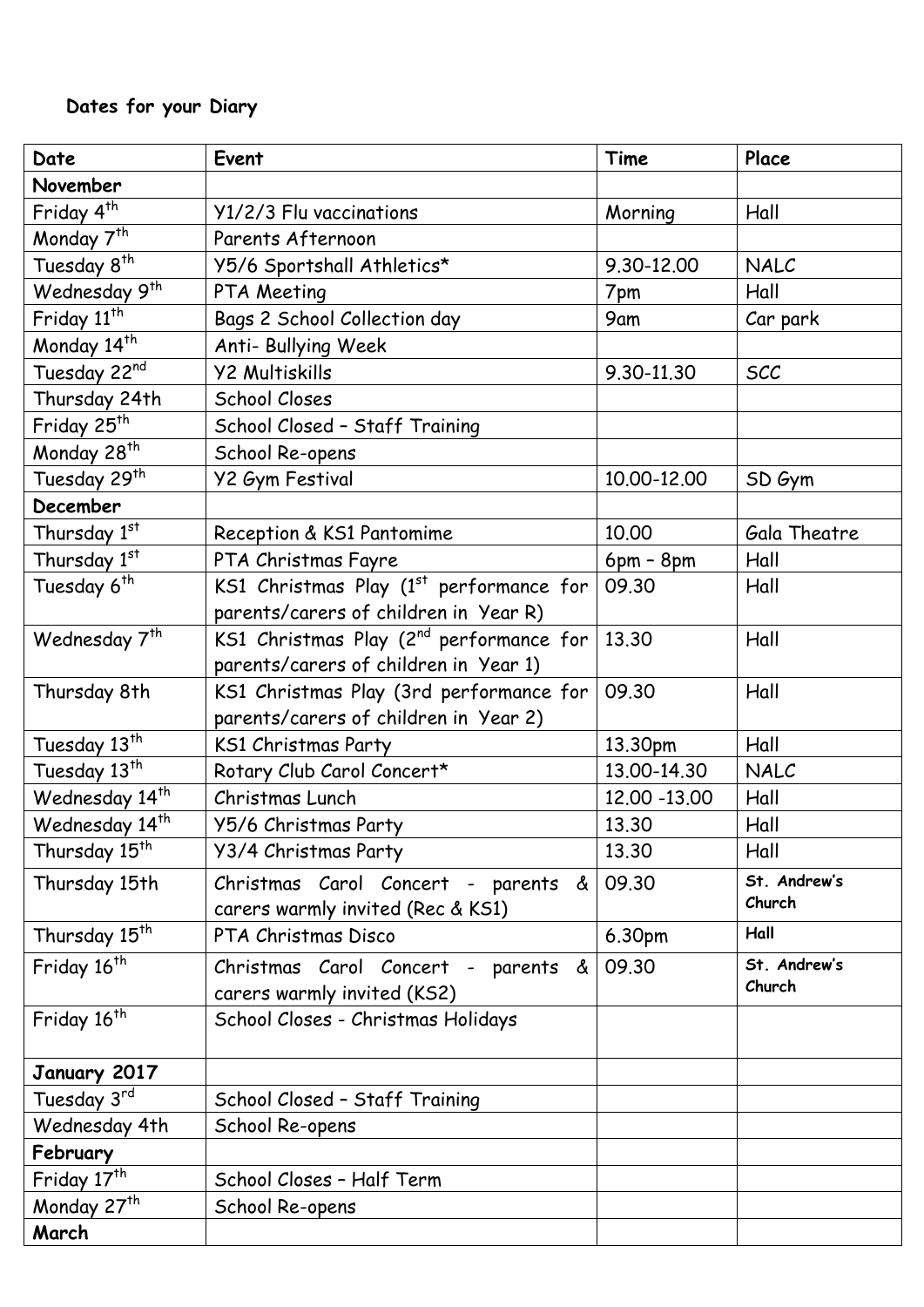# **Dates for your Diary**

| Date                        | Event                                               | Time          | Place        |
|-----------------------------|-----------------------------------------------------|---------------|--------------|
| November                    |                                                     |               |              |
| Friday 4 <sup>th</sup>      | Y1/2/3 Flu vaccinations                             | Morning       | Hall         |
| Monday 7 <sup>th</sup>      | Parents Afternoon                                   |               |              |
| Tuesday 8 <sup>th</sup>     | Y5/6 Sportshall Athletics*                          | 9.30-12.00    | NALC         |
| Wednesday 9 <sup>th</sup>   | PTA Meeting                                         | 7pm           | Hall         |
| Friday $11^{\overline{th}}$ | Bags 2 School Collection day                        | 9am           | Car park     |
| Monday 14th                 | Anti- Bullying Week                                 |               |              |
| Tuesday 22nd                | <b>Y2 Multiskills</b>                               | 9.30-11.30    | <b>SCC</b>   |
| Thursday 24th               | School Closes                                       |               |              |
| Friday 25 <sup>th</sup>     | School Closed - Staff Training                      |               |              |
| Monday 28 <sup>th</sup>     | School Re-opens                                     |               |              |
| Tuesday 29th                | <b>Y2 Gym Festival</b>                              | 10.00-12.00   | SD Gym       |
| December                    |                                                     |               |              |
| Thursday 1st                | Reception & KS1 Pantomime                           | 10.00         | Gala Theatre |
| Thursday 1st                | PTA Christmas Fayre                                 | $6pm - 8pm$   | Hall         |
| Tuesday 6 <sup>th</sup>     | KS1 Christmas Play $(1st$ performance for           | 09.30         | Hall         |
|                             | parents/carers of children in Year R)               |               |              |
| Wednesday 7 <sup>th</sup>   | KS1 Christmas Play (2 <sup>nd</sup> performance for | 13.30         | Hall         |
|                             | parents/carers of children in Year 1)               |               |              |
| Thursday 8th                | KS1 Christmas Play (3rd performance for             | 09.30         | Hall         |
|                             | parents/carers of children in Year 2)               |               |              |
| Tuesday 13th                | KS1 Christmas Party                                 | 13.30pm       | Hall         |
| Tuesday 13 <sup>th</sup>    | Rotary Club Carol Concert*                          | 13.00-14.30   | NALC         |
| Wednesday 14 <sup>th</sup>  | Christmas Lunch                                     | 12.00 - 13.00 | Hall         |
| Wednesday 14 <sup>th</sup>  | Y5/6 Christmas Party                                | 13.30         | Hall         |
| Thursday 15 <sup>th</sup>   | Y3/4 Christmas Party                                | 13.30         | Hall         |
| Thursday 15th               | Christmas Carol Concert - parents &                 | 09.30         | St. Andrew's |
|                             | carers warmly invited (Rec & KS1)                   |               | Church       |
| Thursday 15 <sup>th</sup>   | PTA Christmas Disco                                 | 6.30pm        | Hall         |
| Friday 16 <sup>th</sup>     | Christmas Carol Concert - parents &                 | 09.30         | St. Andrew's |
|                             | carers warmly invited (KS2)                         |               | Church       |
| Friday 16 <sup>th</sup>     | School Closes - Christmas Holidays                  |               |              |
|                             |                                                     |               |              |
| January 2017                |                                                     |               |              |
| Tuesday 3rd                 | School Closed - Staff Training                      |               |              |
| Wednesday 4th               | School Re-opens                                     |               |              |
| February                    |                                                     |               |              |
| Friday 17 <sup>th</sup>     | School Closes - Half Term                           |               |              |
| Monday 27 <sup>th</sup>     | School Re-opens                                     |               |              |
| March                       |                                                     |               |              |